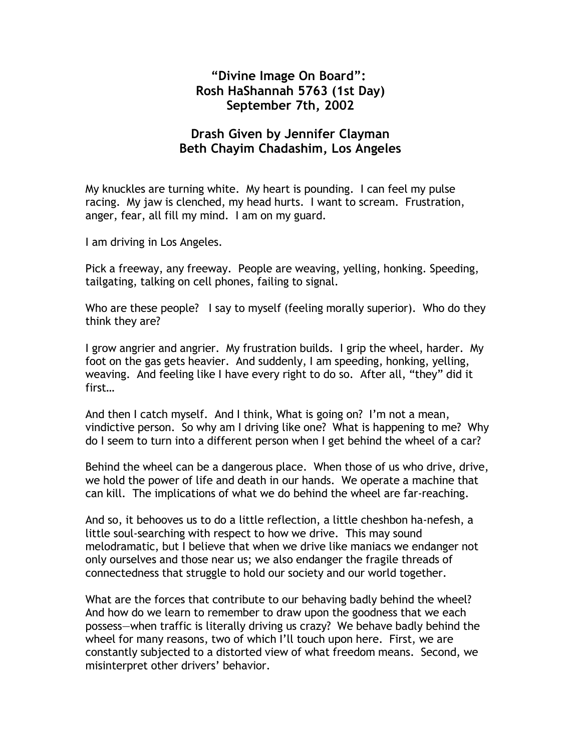## **"Divine Image On Board": Rosh HaShannah 5763 (1st Day) September 7th, 2002**

## **Drash Given by Jennifer Clayman Beth Chayim Chadashim, Los Angeles**

My knuckles are turning white. My heart is pounding. I can feel my pulse racing. My jaw is clenched, my head hurts. I want to scream. Frustration, anger, fear, all fill my mind. I am on my guard.

I am driving in Los Angeles.

Pick a freeway, any freeway. People are weaving, yelling, honking. Speeding, tailgating, talking on cell phones, failing to signal.

Who are these people? I say to myself (feeling morally superior). Who do they think they are?

I grow angrier and angrier. My frustration builds. I grip the wheel, harder. My foot on the gas gets heavier. And suddenly, I am speeding, honking, yelling, weaving. And feeling like I have every right to do so. After all, "they" did it first…

And then I catch myself. And I think, What is going on? I'm not a mean, vindictive person. So why am I driving like one? What is happening to me? Why do I seem to turn into a different person when I get behind the wheel of a car?

Behind the wheel can be a dangerous place. When those of us who drive, drive, we hold the power of life and death in our hands. We operate a machine that can kill. The implications of what we do behind the wheel are far-reaching.

And so, it behooves us to do a little reflection, a little cheshbon ha-nefesh, a little soul-searching with respect to how we drive. This may sound melodramatic, but I believe that when we drive like maniacs we endanger not only ourselves and those near us; we also endanger the fragile threads of connectedness that struggle to hold our society and our world together.

What are the forces that contribute to our behaving badly behind the wheel? And how do we learn to remember to draw upon the goodness that we each possess—when traffic is literally driving us crazy? We behave badly behind the wheel for many reasons, two of which I'll touch upon here. First, we are constantly subjected to a distorted view of what freedom means. Second, we misinterpret other drivers' behavior.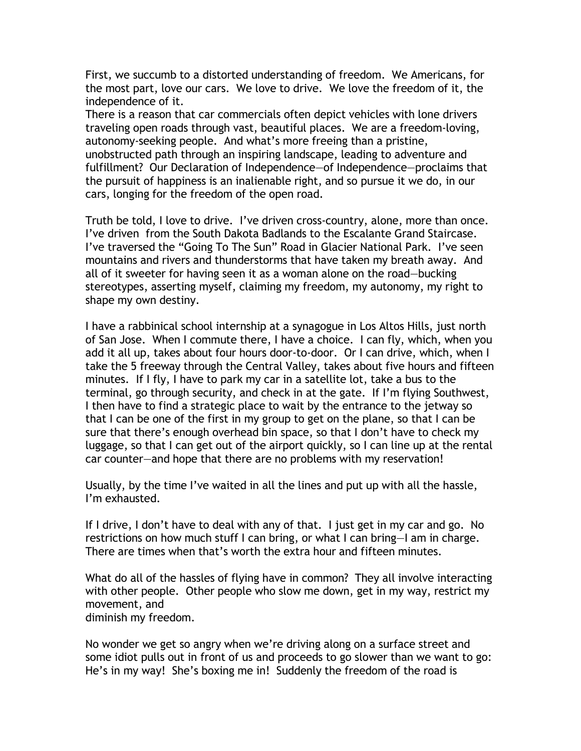First, we succumb to a distorted understanding of freedom. We Americans, for the most part, love our cars. We love to drive. We love the freedom of it, the independence of it.

There is a reason that car commercials often depict vehicles with lone drivers traveling open roads through vast, beautiful places. We are a freedom-loving, autonomy-seeking people. And what's more freeing than a pristine, unobstructed path through an inspiring landscape, leading to adventure and fulfillment? Our Declaration of Independence—of Independence—proclaims that the pursuit of happiness is an inalienable right, and so pursue it we do, in our cars, longing for the freedom of the open road.

Truth be told, I love to drive. I've driven cross-country, alone, more than once. I've driven from the South Dakota Badlands to the Escalante Grand Staircase. I've traversed the "Going To The Sun" Road in Glacier National Park. I've seen mountains and rivers and thunderstorms that have taken my breath away. And all of it sweeter for having seen it as a woman alone on the road—bucking stereotypes, asserting myself, claiming my freedom, my autonomy, my right to shape my own destiny.

I have a rabbinical school internship at a synagogue in Los Altos Hills, just north of San Jose. When I commute there, I have a choice. I can fly, which, when you add it all up, takes about four hours door-to-door. Or I can drive, which, when I take the 5 freeway through the Central Valley, takes about five hours and fifteen minutes. If I fly, I have to park my car in a satellite lot, take a bus to the terminal, go through security, and check in at the gate. If I'm flying Southwest, I then have to find a strategic place to wait by the entrance to the jetway so that I can be one of the first in my group to get on the plane, so that I can be sure that there's enough overhead bin space, so that I don't have to check my luggage, so that I can get out of the airport quickly, so I can line up at the rental car counter—and hope that there are no problems with my reservation!

Usually, by the time I've waited in all the lines and put up with all the hassle, I'm exhausted.

If I drive, I don't have to deal with any of that. I just get in my car and go. No restrictions on how much stuff I can bring, or what I can bring—I am in charge. There are times when that's worth the extra hour and fifteen minutes.

What do all of the hassles of flying have in common? They all involve interacting with other people. Other people who slow me down, get in my way, restrict my movement, and

diminish my freedom.

No wonder we get so angry when we're driving along on a surface street and some idiot pulls out in front of us and proceeds to go slower than we want to go: He's in my way! She's boxing me in! Suddenly the freedom of the road is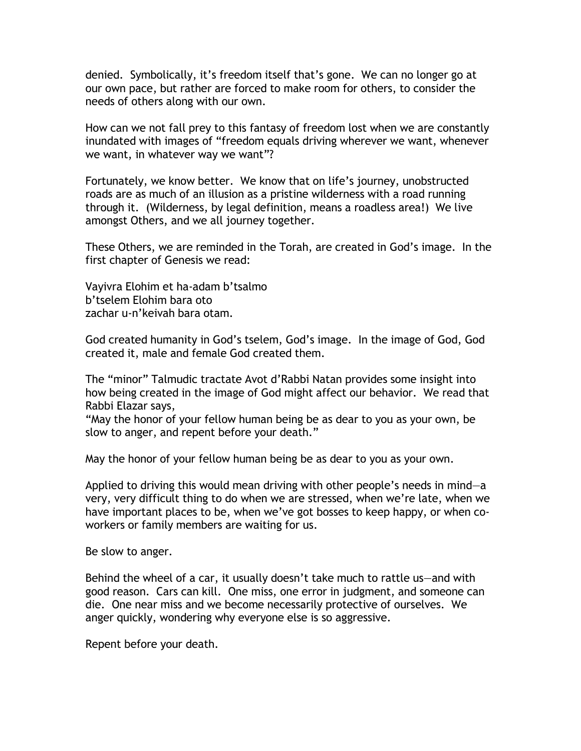denied. Symbolically, it's freedom itself that's gone. We can no longer go at our own pace, but rather are forced to make room for others, to consider the needs of others along with our own.

How can we not fall prey to this fantasy of freedom lost when we are constantly inundated with images of "freedom equals driving wherever we want, whenever we want, in whatever way we want"?

Fortunately, we know better. We know that on life's journey, unobstructed roads are as much of an illusion as a pristine wilderness with a road running through it. (Wilderness, by legal definition, means a roadless area!) We live amongst Others, and we all journey together.

These Others, we are reminded in the Torah, are created in God's image. In the first chapter of Genesis we read:

Vayivra Elohim et ha-adam b'tsalmo b'tselem Elohim bara oto zachar u-n'keivah bara otam.

God created humanity in God's tselem, God's image. In the image of God, God created it, male and female God created them.

The "minor" Talmudic tractate Avot d'Rabbi Natan provides some insight into how being created in the image of God might affect our behavior. We read that Rabbi Elazar says,

"May the honor of your fellow human being be as dear to you as your own, be slow to anger, and repent before your death."

May the honor of your fellow human being be as dear to you as your own.

Applied to driving this would mean driving with other people's needs in mind—a very, very difficult thing to do when we are stressed, when we're late, when we have important places to be, when we've got bosses to keep happy, or when coworkers or family members are waiting for us.

Be slow to anger.

Behind the wheel of a car, it usually doesn't take much to rattle us—and with good reason. Cars can kill. One miss, one error in judgment, and someone can die. One near miss and we become necessarily protective of ourselves. We anger quickly, wondering why everyone else is so aggressive.

Repent before your death.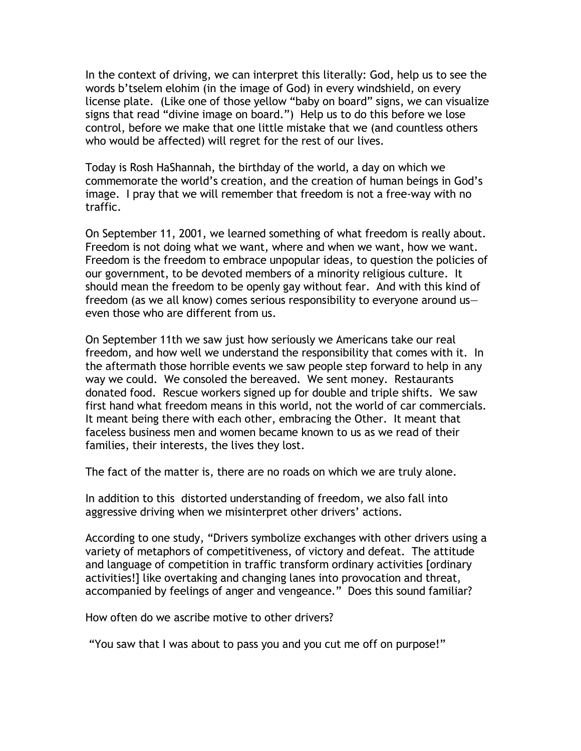In the context of driving, we can interpret this literally: God, help us to see the words b'tselem elohim (in the image of God) in every windshield, on every license plate. (Like one of those yellow "baby on board" signs, we can visualize signs that read "divine image on board.") Help us to do this before we lose control, before we make that one little mistake that we (and countless others who would be affected) will regret for the rest of our lives.

Today is Rosh HaShannah, the birthday of the world, a day on which we commemorate the world's creation, and the creation of human beings in God's image. I pray that we will remember that freedom is not a free-way with no traffic.

On September 11, 2001, we learned something of what freedom is really about. Freedom is not doing what we want, where and when we want, how we want. Freedom is the freedom to embrace unpopular ideas, to question the policies of our government, to be devoted members of a minority religious culture. It should mean the freedom to be openly gay without fear. And with this kind of freedom (as we all know) comes serious responsibility to everyone around us even those who are different from us.

On September 11th we saw just how seriously we Americans take our real freedom, and how well we understand the responsibility that comes with it. In the aftermath those horrible events we saw people step forward to help in any way we could. We consoled the bereaved. We sent money. Restaurants donated food. Rescue workers signed up for double and triple shifts. We saw first hand what freedom means in this world, not the world of car commercials. It meant being there with each other, embracing the Other. It meant that faceless business men and women became known to us as we read of their families, their interests, the lives they lost.

The fact of the matter is, there are no roads on which we are truly alone.

In addition to this distorted understanding of freedom, we also fall into aggressive driving when we misinterpret other drivers' actions.

According to one study, "Drivers symbolize exchanges with other drivers using a variety of metaphors of competitiveness, of victory and defeat. The attitude and language of competition in traffic transform ordinary activities [ordinary activities!] like overtaking and changing lanes into provocation and threat, accompanied by feelings of anger and vengeance." Does this sound familiar?

How often do we ascribe motive to other drivers?

"You saw that I was about to pass you and you cut me off on purpose!"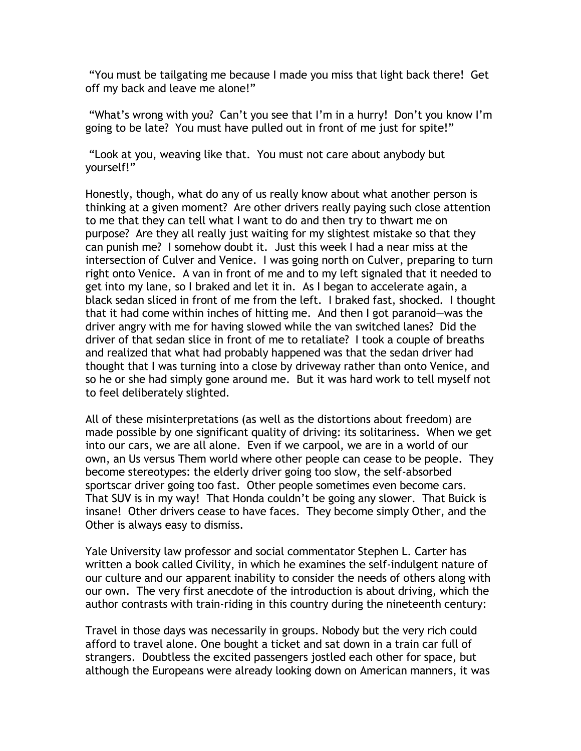"You must be tailgating me because I made you miss that light back there! Get off my back and leave me alone!"

"What's wrong with you? Can't you see that I'm in a hurry! Don't you know I'm going to be late? You must have pulled out in front of me just for spite!"

"Look at you, weaving like that. You must not care about anybody but yourself!"

Honestly, though, what do any of us really know about what another person is thinking at a given moment? Are other drivers really paying such close attention to me that they can tell what I want to do and then try to thwart me on purpose? Are they all really just waiting for my slightest mistake so that they can punish me? I somehow doubt it. Just this week I had a near miss at the intersection of Culver and Venice. I was going north on Culver, preparing to turn right onto Venice. A van in front of me and to my left signaled that it needed to get into my lane, so I braked and let it in. As I began to accelerate again, a black sedan sliced in front of me from the left. I braked fast, shocked. I thought that it had come within inches of hitting me. And then I got paranoid—was the driver angry with me for having slowed while the van switched lanes? Did the driver of that sedan slice in front of me to retaliate? I took a couple of breaths and realized that what had probably happened was that the sedan driver had thought that I was turning into a close by driveway rather than onto Venice, and so he or she had simply gone around me. But it was hard work to tell myself not to feel deliberately slighted.

All of these misinterpretations (as well as the distortions about freedom) are made possible by one significant quality of driving: its solitariness. When we get into our cars, we are all alone. Even if we carpool, we are in a world of our own, an Us versus Them world where other people can cease to be people. They become stereotypes: the elderly driver going too slow, the self-absorbed sportscar driver going too fast. Other people sometimes even become cars. That SUV is in my way! That Honda couldn't be going any slower. That Buick is insane! Other drivers cease to have faces. They become simply Other, and the Other is always easy to dismiss.

Yale University law professor and social commentator Stephen L. Carter has written a book called Civility, in which he examines the self-indulgent nature of our culture and our apparent inability to consider the needs of others along with our own. The very first anecdote of the introduction is about driving, which the author contrasts with train-riding in this country during the nineteenth century:

Travel in those days was necessarily in groups. Nobody but the very rich could afford to travel alone. One bought a ticket and sat down in a train car full of strangers. Doubtless the excited passengers jostled each other for space, but although the Europeans were already looking down on American manners, it was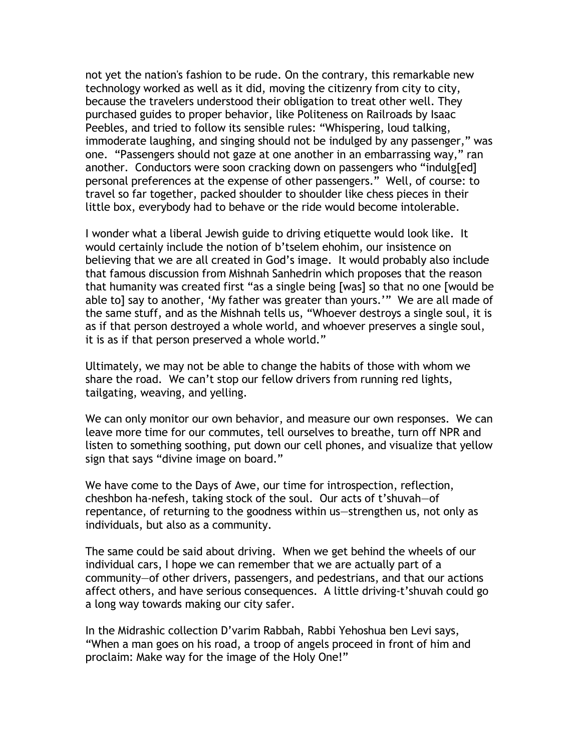not yet the nation's fashion to be rude. On the contrary, this remarkable new technology worked as well as it did, moving the citizenry from city to city, because the travelers understood their obligation to treat other well. They purchased guides to proper behavior, like Politeness on Railroads by Isaac Peebles, and tried to follow its sensible rules: "Whispering, loud talking, immoderate laughing, and singing should not be indulged by any passenger," was one. "Passengers should not gaze at one another in an embarrassing way," ran another. Conductors were soon cracking down on passengers who "indulg[ed] personal preferences at the expense of other passengers." Well, of course: to travel so far together, packed shoulder to shoulder like chess pieces in their little box, everybody had to behave or the ride would become intolerable.

I wonder what a liberal Jewish guide to driving etiquette would look like. It would certainly include the notion of b'tselem ehohim, our insistence on believing that we are all created in God's image. It would probably also include that famous discussion from Mishnah Sanhedrin which proposes that the reason that humanity was created first "as a single being [was] so that no one [would be able to] say to another, 'My father was greater than yours.'" We are all made of the same stuff, and as the Mishnah tells us, "Whoever destroys a single soul, it is as if that person destroyed a whole world, and whoever preserves a single soul, it is as if that person preserved a whole world."

Ultimately, we may not be able to change the habits of those with whom we share the road. We can't stop our fellow drivers from running red lights, tailgating, weaving, and yelling.

We can only monitor our own behavior, and measure our own responses. We can leave more time for our commutes, tell ourselves to breathe, turn off NPR and listen to something soothing, put down our cell phones, and visualize that yellow sign that says "divine image on board."

We have come to the Days of Awe, our time for introspection, reflection, cheshbon ha-nefesh, taking stock of the soul. Our acts of t'shuvah—of repentance, of returning to the goodness within us—strengthen us, not only as individuals, but also as a community.

The same could be said about driving. When we get behind the wheels of our individual cars, I hope we can remember that we are actually part of a community—of other drivers, passengers, and pedestrians, and that our actions affect others, and have serious consequences. A little driving-t'shuvah could go a long way towards making our city safer.

In the Midrashic collection D'varim Rabbah, Rabbi Yehoshua ben Levi says, "When a man goes on his road, a troop of angels proceed in front of him and proclaim: Make way for the image of the Holy One!"